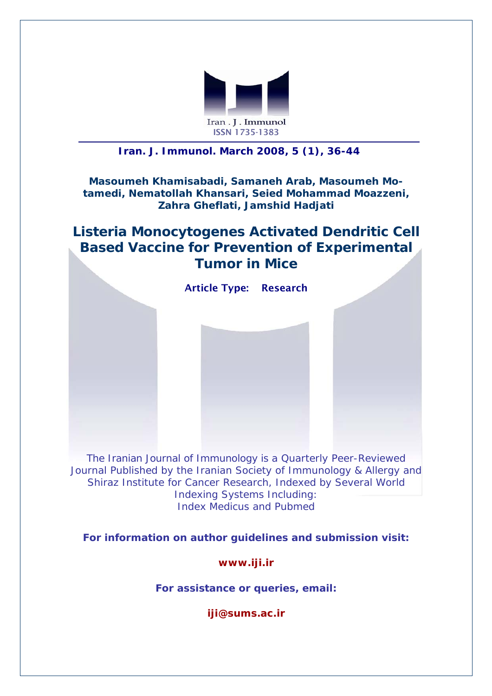

### *Iran. J. Immunol. March 2008, 5 (1), 36-44*

#### **Masoumeh Khamisabadi, Samaneh Arab, Masoumeh Motamedi, Nematollah Khansari, Seied Mohammad Moazzeni, Zahra Gheflati, Jamshid Hadjati**

## **Listeria Monocytogenes Activated Dendritic Cell Based Vaccine for Prevention of Experimental Tumor in Mice**



The *Iranian Journal of Immunology* is a Quarterly Peer-Reviewed Journal Published by the Iranian Society of Immunology & Allergy and Shiraz Institute for Cancer Research, Indexed by Several World Indexing Systems Including: Index Medicus and Pubmed

**For information on author guidelines and submission visit:** 

**[www.iji.ir](http://www.iji.ir/)**

**For assistance or queries, email:** 

**[iji@sums.ac.ir](mailto:iji@sums.ac.ir)**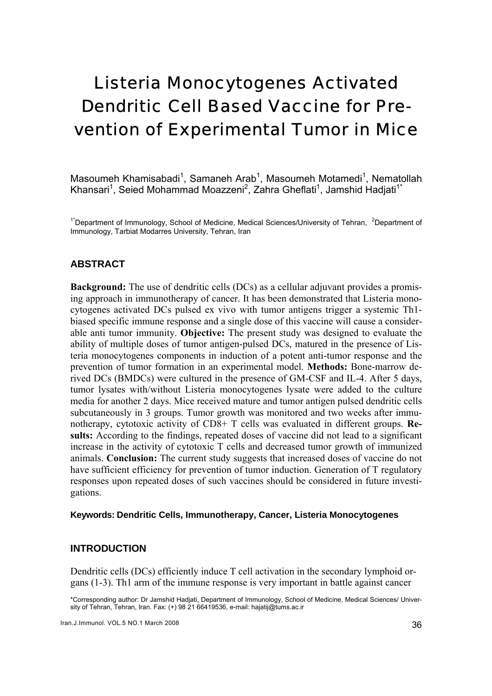# Listeria Monocytogenes Activated Dendritic Cell Based Vaccine for Prevention of Experimental Tumor in Mice

Masoumeh Khamisabadi<sup>1</sup>, Samaneh Arab<sup>1</sup>, Masoumeh Motamedi<sup>1</sup>, Nematollah Khansari<sup>1</sup>, Seied Mohammad Moazzeni<sup>2</sup>, Zahra Gheflati<sup>1</sup>, Jamshid Hadjati<sup>1\*</sup>

<sup>1\*</sup>Department of Immunology, School of Medicine, Medical Sciences/University of Tehran, <sup>2</sup>Department of Immunology, Tarbiat Modarres University, Tehran, Iran

#### **ABSTRACT**

**Background:** The use of dendritic cells (DCs) as a cellular adjuvant provides a promising approach in immunotherapy of cancer. It has been demonstrated that Listeria monocytogenes activated DCs pulsed ex vivo with tumor antigens trigger a systemic Th1 biased specific immune response and a single dose of this vaccine will cause a considerable anti tumor immunity. **Objective:** The present study was designed to evaluate the ability of multiple doses of tumor antigen-pulsed DCs, matured in the presence of Listeria monocytogenes components in induction of a potent anti-tumor response and the prevention of tumor formation in an experimental model. **Methods:** Bone-marrow derived DCs (BMDCs) were cultured in the presence of GM-CSF and IL-4. After 5 days, tumor lysates with/without Listeria monocytogenes lysate were added to the culture media for another 2 days. Mice received mature and tumor antigen pulsed dendritic cells subcutaneously in 3 groups. Tumor growth was monitored and two weeks after immunotherapy, cytotoxic activity of CD8+ T cells was evaluated in different groups. **Results:** According to the findings, repeated doses of vaccine did not lead to a significant increase in the activity of cytotoxic T cells and decreased tumor growth of immunized animals. **Conclusion:** The current study suggests that increased doses of vaccine do not have sufficient efficiency for prevention of tumor induction. Generation of T regulatory responses upon repeated doses of such vaccines should be considered in future investigations.

#### **Keywords: Dendritic Cells, Immunotherapy, Cancer, Listeria Monocytogenes**

#### **INTRODUCTION**

Dendritic cells (DCs) efficiently induce T cell activation in the secondary lymphoid organs (1-3). Th1 arm of the immune response is very important in battle against cancer

\*Corresponding author: Dr Jamshid Hadjati, Department of Immunology, School of Medicine, Medical Sciences/ University of Tehran, Tehran, Iran. Fax: (+) 98 21 66419536, e-mail: hajatij@tums.ac.ir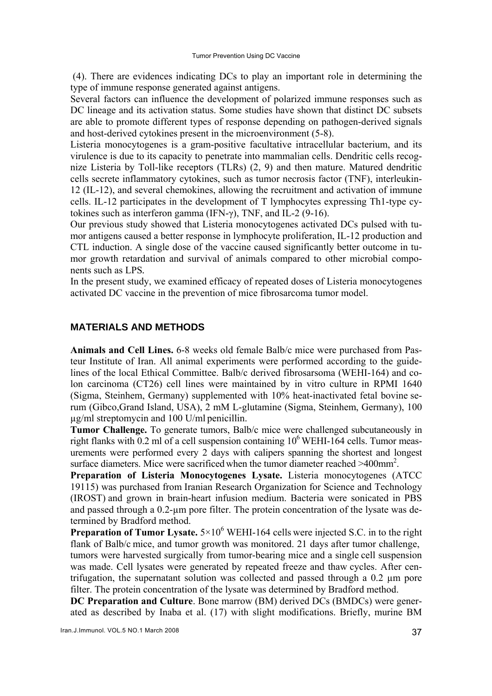(4). There are evidences indicating DCs to play an important role in determining the type of immune response generated against antigens.

Several factors can influence the development of polarized immune responses such as DC lineage and its activation status. Some studies have shown that distinct DC subsets are able to promote different types of response depending on pathogen-derived signals and host-derived cytokines present in the microenvironment (5-8).

Listeria monocytogenes is a gram-positive facultative intracellular bacterium, and its virulence is due to its capacity to penetrate into mammalian cells. Dendritic cells recognize Listeria by Toll-like receptors (TLRs) (2, 9) and then mature. Matured dendritic cells secrete inflammatory cytokines, such as tumor necrosis factor (TNF), interleukin-12 (IL-12), and several chemokines, allowing the recruitment and activation of immune cells. IL-12 participates in the development of T lymphocytes expressing Th1-type cytokines such as interferon gamma (IFN-γ), TNF, and IL-2 (9-16).

Our previous study showed that Listeria monocytogenes activated DCs pulsed with tumor antigens caused a better response in lymphocyte proliferation, IL-12 production and CTL induction. A single dose of the vaccine caused significantly better outcome in tumor growth retardation and survival of animals compared to other microbial components such as LPS*.* 

In the present study, we examined efficacy of repeated doses of Listeria monocytogenes activated DC vaccine in the prevention of mice fibrosarcoma tumor model.

#### **MATERIALS AND METHODS**

**Animals and Cell Lines.** 6-8 weeks old female Balb/c mice were purchased from Pasteur Institute of Iran. All animal experiments were performed according to the guidelines of the local Ethical Committee. Balb/c derived fibrosarsoma (WEHI-164) and colon carcinoma (CT26) cell lines were maintained by in vitro culture in RPMI 1640 (Sigma, Steinhem, Germany) supplemented with 10% heat-inactivated fetal bovine serum (Gibco,Grand Island, USA), 2 mM L-glutamine (Sigma, Steinhem, Germany), 100 µg/ml streptomycin and 100 U/ml penicillin.

**Tumor Challenge.** To generate tumors, Balb/c mice were challenged subcutaneously in right flanks with  $0.2$  ml of a cell suspension containing  $10^6$  WEHI-164 cells. Tumor measurements were performed every 2 days with calipers spanning the shortest and longest surface diameters. Mice were sacrificed when the tumor diameter reached >400mm<sup>2</sup>.

**Preparation of Listeria Monocytogenes Lysate.** Listeria monocytogenes (ATCC 19115) was purchased from Iranian Research Organization for Science and Technology (IROST) and grown in brain-heart infusion medium. Bacteria were sonicated in PBS and passed through a 0.2-µm pore filter. The protein concentration of the lysate was determined by Bradford method.

**Preparation of Tumor Lysate.**  $5 \times 10^6$  WEHI-164 cells were injected S.C. in to the right flank of Balb/c mice, and tumor growth was monitored. 21 days after tumor challenge, tumors were harvested surgically from tumor-bearing mice and a single cell suspension was made. Cell lysates were generated by repeated freeze and thaw cycles. After centrifugation, the supernatant solution was collected and passed through a 0.2 µm pore filter. The protein concentration of the lysate was determined by Bradford method.

**DC Preparation and Culture**. Bone marrow (BM) derived DCs (BMDCs) were generated as described by Inaba et al. (17) with slight modifications. Briefly, murine BM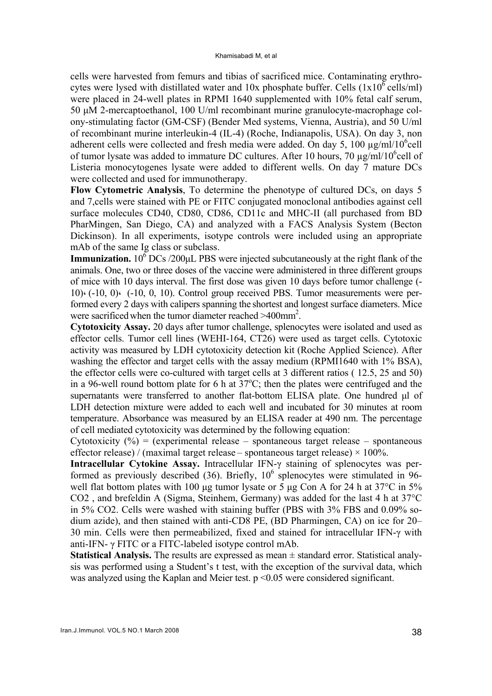cells were harvested from femurs and tibias of sacrificed mice. Contaminating erythrocytes were lysed with distillated water and  $10x$  phosphate buffer. Cells  $(1x10^6 \text{ cells/ml})$ were placed in 24-well plates in RPMI 1640 supplemented with 10% fetal calf serum, 50 µM 2-mercaptoethanol, 100 U/ml recombinant murine granulocyte-macrophage colony-stimulating factor (GM-CSF) (Bender Med systems, Vienna, Austria), and 50 U/ml of recombinant murine interleukin-4 (IL-4) (Roche, Indianapolis, USA). On day 3, non adherent cells were collected and fresh media were added. On day 5, 100  $\mu$ g/ml/10<sup>6</sup>cell of tumor lysate was added to immature DC cultures. After 10 hours, 70  $\mu$ g/ml/10<sup>6</sup>cell of Listeria monocytogenes lysate were added to different wells. On day 7 mature DCs were collected and used for immunotherapy.

**Flow Cytometric Analysis**, To determine the phenotype of cultured DCs, on days 5 and 7,cells were stained with PE or FITC conjugated monoclonal antibodies against cell surface molecules CD40, CD80, CD86, CD11c and MHC-II (all purchased from BD PharMingen, San Diego, CA) and analyzed with a FACS Analysis System (Becton Dickinson). In all experiments, isotype controls were included using an appropriate mAb of the same Ig class or subclass.

**Immunization.**  $10^6$  DCs  $/200 \mu$ L PBS were injected subcutaneously at the right flank of the animals. One, two or three doses of the vaccine were administered in three different groups of mice with 10 days interval. The first dose was given 10 days before tumor challenge (-  $10$ ). (-10, 0). (-10, 0, 10). Control group received PBS. Tumor measurements were performed every 2 days with calipers spanning the shortest and longest surface diameters. Mice were sacrificed when the tumor diameter reached >400mm<sup>2</sup>.

**Cytotoxicity Assay.** 20 days after tumor challenge, splenocytes were isolated and used as effector cells. Tumor cell lines (WEHI-164, CT26) were used as target cells. Cytotoxic activity was measured by LDH cytotoxicity detection kit (Roche Applied Science). After washing the effector and target cells with the assay medium (RPMI1640 with 1% BSA). the effector cells were co-cultured with target cells at 3 different ratios ( 12.5, 25 and 50) in a 96-well round bottom plate for 6 h at  $37^{\circ}$ C; then the plates were centrifuged and the supernatants were transferred to another flat-bottom ELISA plate. One hundred µl of LDH detection mixture were added to each well and incubated for 30 minutes at room temperature. Absorbance was measured by an ELISA reader at 490 nm. The percentage of cell mediated cytotoxicity was determined by the following equation:

Cytotoxicity  $(\%)$  = (experimental release – spontaneous target release – spontaneous effector release) / (maximal target release – spontaneous target release)  $\times$  100%.

**Intracellular Cytokine Assay.** Intracellular IFN-γ staining of splenocytes was performed as previously described  $(36)$ . Briefly,  $10^6$  splenocytes were stimulated in 96well flat bottom plates with 100 µg tumor lysate or 5 µg Con A for 24 h at 37 °C in 5% CO2 , and brefeldin A (Sigma, Steinhem, Germany) was added for the last 4 h at 37°C in 5% CO2. Cells were washed with staining buffer (PBS with 3% FBS and 0.09% sodium azide), and then stained with anti-CD8 PE, (BD Pharmingen, CA) on ice for 20– 30 min. Cells were then permeabilized, fixed and stained for intracellular IFN-γ with anti-IFN- γ FITC or a FITC-labeled isotype control mAb.

**Statistical Analysis.** The results are expressed as mean ± standard error. Statistical analysis was performed using a Student's t test, with the exception of the survival data, which was analyzed using the Kaplan and Meier test. p <0.05 were considered significant.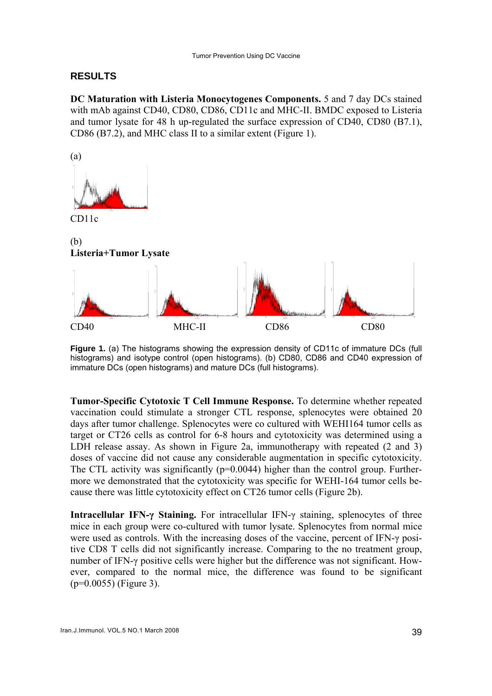#### **RESULTS**

**DC Maturation with Listeria Monocytogenes Components.** 5 and 7 day DCs stained with mAb against CD40, CD80, CD86, CD11c and MHC-II. BMDC exposed to Listeria and tumor lysate for 48 h up-regulated the surface expression of CD40, CD80 (B7.1), CD86 (B7.2), and MHC class II to a similar extent (Figure 1).



CD11c



**Figure 1.** (a) The histograms showing the expression density of CD11c of immature DCs (full histograms) and isotype control (open histograms). (b) CD80, CD86 and CD40 expression of immature DCs (open histograms) and mature DCs (full histograms).

**Tumor-Specific Cytotoxic T Cell Immune Response.** To determine whether repeated vaccination could stimulate a stronger CTL response, splenocytes were obtained 20 days after tumor challenge. Splenocytes were co cultured with WEHI164 tumor cells as target or CT26 cells as control for 6-8 hours and cytotoxicity was determined using a LDH release assay. As shown in Figure 2a, immunotherapy with repeated (2 and 3) doses of vaccine did not cause any considerable augmentation in specific cytotoxicity. The CTL activity was significantly  $(p=0.0044)$  higher than the control group. Furthermore we demonstrated that the cytotoxicity was specific for WEHI-164 tumor cells because there was little cytotoxicity effect on CT26 tumor cells (Figure 2b).

**Intracellular IFN-γ Staining.** For intracellular IFN-γ staining, splenocytes of three mice in each group were co-cultured with tumor lysate. Splenocytes from normal mice were used as controls. With the increasing doses of the vaccine, percent of IFN-γ positive CD8 T cells did not significantly increase. Comparing to the no treatment group, number of IFN-γ positive cells were higher but the difference was not significant. However, compared to the normal mice, the difference was found to be significant (p=0.0055) (Figure 3).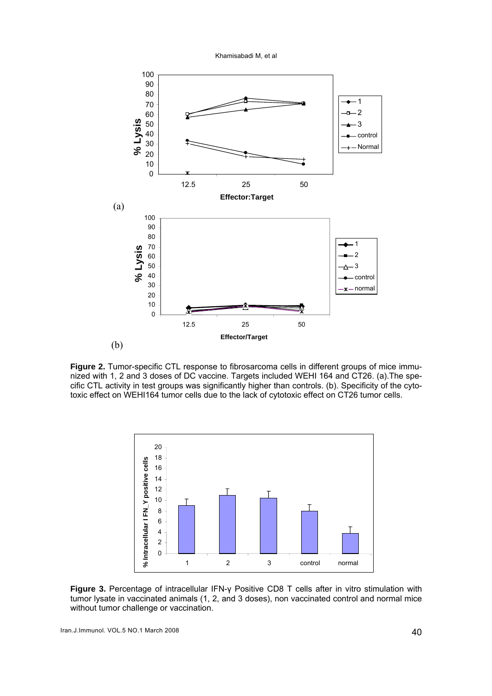Khamisabadi M, et al



**Figure 2.** Tumor-specific CTL response to fibrosarcoma cells in different groups of mice immunized with 1, 2 and 3 doses of DC vaccine. Targets included WEHI 164 and CT26. (a).The specific CTL activity in test groups was significantly higher than controls. (b). Specificity of the cytotoxic effect on WEHI164 tumor cells due to the lack of cytotoxic effect on CT26 tumor cells.



**Figure 3.** Percentage of intracellular IFN-γ Positive CD8 T cells after in vitro stimulation with tumor lysate in vaccinated animals (1, 2, and 3 doses), non vaccinated control and normal mice without tumor challenge or vaccination.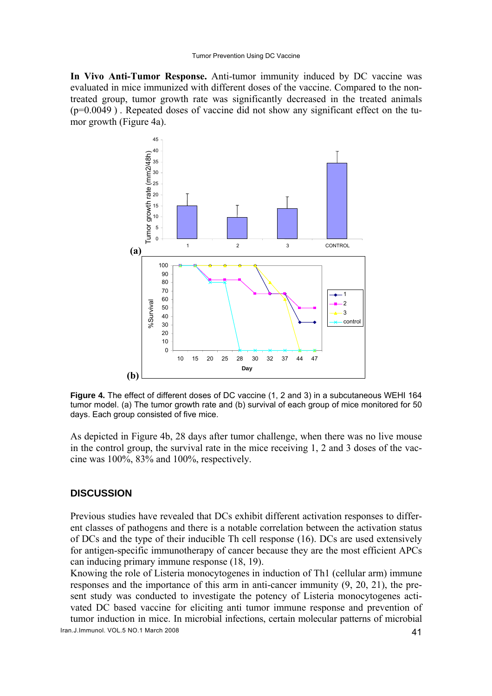**In Vivo Anti-Tumor Response.** Anti-tumor immunity induced by DC vaccine was evaluated in mice immunized with different doses of the vaccine. Compared to the nontreated group, tumor growth rate was significantly decreased in the treated animals  $(p=0.0049)$ . Repeated doses of vaccine did not show any significant effect on the tumor growth (Figure 4a).



**Figure 4.** The effect of different doses of DC vaccine (1, 2 and 3) in a subcutaneous WEHI 164 tumor model. (a) The tumor growth rate and (b) survival of each group of mice monitored for 50 days. Each group consisted of five mice.

As depicted in Figure 4b, 28 days after tumor challenge, when there was no live mouse in the control group, the survival rate in the mice receiving 1, 2 and 3 doses of the vaccine was 100%, 83% and 100%, respectively.

#### **DISCUSSION**

Previous studies have revealed that DCs exhibit different activation responses to different classes of pathogens and there is a notable correlation between the activation status of DCs and the type of their inducible Th cell response (16). DCs are used extensively for antigen-specific immunotherapy of cancer because they are the most efficient APCs can inducing primary immune response (18, 19).

Knowing the role of Listeria monocytogenes in induction of Th1 (cellular arm) immune responses and the importance of this arm in anti-cancer immunity (9, 20, 21), the present study was conducted to investigate the potency of Listeria monocytogenes activated DC based vaccine for eliciting anti tumor immune response and prevention of tumor induction in mice. In microbial infections, certain molecular patterns of microbial

Iran.J.Immunol. VOL.5 NO.1 March 2008 41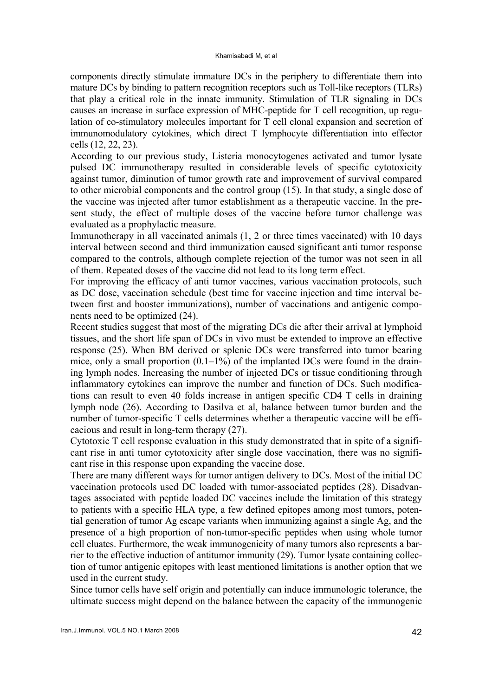components directly stimulate immature DCs in the periphery to differentiate them into mature DCs by binding to pattern recognition receptors such as Toll-like receptors (TLRs) that play a critical role in the innate immunity. Stimulation of TLR signaling in DCs causes an increase in surface expression of MHC-peptide for T cell recognition, up regulation of co-stimulatory molecules important for T cell clonal expansion and secretion of immunomodulatory cytokines, which direct T lymphocyte differentiation into effector cells (12, 22, 23).

According to our previous study, Listeria monocytogenes activated and tumor lysate pulsed DC immunotherapy resulted in considerable levels of specific cytotoxicity against tumor, diminution of tumor growth rate and improvement of survival compared to other microbial components and the control group (15). In that study, a single dose of the vaccine was injected after tumor establishment as a therapeutic vaccine. In the present study, the effect of multiple doses of the vaccine before tumor challenge was evaluated as a prophylactic measure.

Immunotherapy in all vaccinated animals (1, 2 or three times vaccinated) with 10 days interval between second and third immunization caused significant anti tumor response compared to the controls, although complete rejection of the tumor was not seen in all of them. Repeated doses of the vaccine did not lead to its long term effect.

For improving the efficacy of anti tumor vaccines, various vaccination protocols, such as DC dose, vaccination schedule (best time for vaccine injection and time interval between first and booster immunizations), number of vaccinations and antigenic components need to be optimized (24).

Recent studies suggest that most of the migrating DCs die after their arrival at lymphoid tissues, and the short life span of DCs in vivo must be extended to improve an effective response (25). When BM derived or splenic DCs were transferred into tumor bearing mice, only a small proportion  $(0.1-1\%)$  of the implanted DCs were found in the draining lymph nodes. Increasing the number of injected DCs or tissue conditioning through inflammatory cytokines can improve the number and function of DCs. Such modifications can result to even 40 folds increase in antigen specific CD4 T cells in draining lymph node (26). According to Dasilva et al, balance between tumor burden and the number of tumor-specific T cells determines whether a therapeutic vaccine will be efficacious and result in long-term therapy (27).

Cytotoxic T cell response evaluation in this study demonstrated that in spite of a significant rise in anti tumor cytotoxicity after single dose vaccination, there was no significant rise in this response upon expanding the vaccine dose.

There are many different ways for tumor antigen delivery to DCs. Most of the initial DC vaccination protocols used DC loaded with tumor-associated peptides (28). Disadvantages associated with peptide loaded DC vaccines include the limitation of this strategy to patients with a specific HLA type, a few defined epitopes among most tumors, potential generation of tumor Ag escape variants when immunizing against a single Ag, and the presence of a high proportion of non-tumor-specific peptides when using whole tumor cell eluates. Furthermore, the weak immunogenicity of many tumors also represents a barrier to the effective induction of antitumor immunity (29). Tumor lysate containing collection of tumor antigenic epitopes with least mentioned limitations is another option that we used in the current study.

Since tumor cells have self origin and potentially can induce immunologic tolerance, the ultimate success might depend on the balance between the capacity of the immunogenic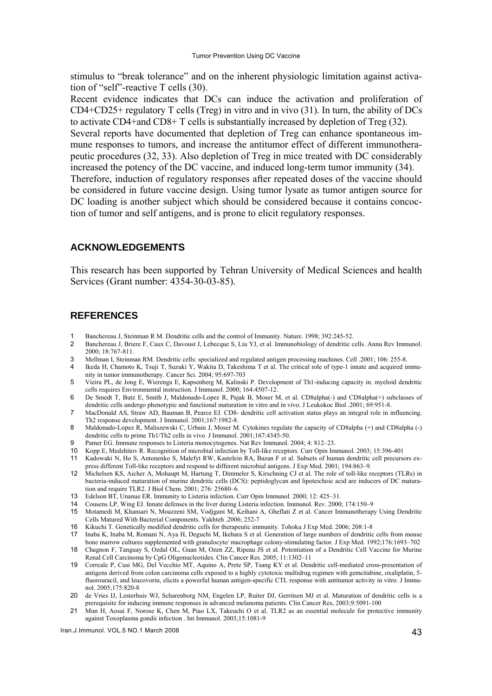stimulus to "break tolerance" and on the inherent physiologic limitation against activation of "self"-reactive T cells (30).

Recent evidence indicates that DCs can induce the activation and proliferation of CD4+CD25+ regulatory T cells (Treg) in vitro and in vivo (31). In turn, the ability of DCs to activate CD4+and CD8+ T cells is substantially increased by depletion of Treg (32).

Several reports have documented that depletion of Treg can enhance spontaneous immune responses to tumors, and increase the antitumor effect of different immunotherapeutic procedures (32, 33). Also depletion of Treg in mice treated with DC considerably increased the potency of the DC vaccine, and induced long-term tumor immunity (34). Therefore, induction of regulatory responses after repeated doses of the vaccine should be considered in future vaccine design. Using tumor lysate as tumor antigen source for DC loading is another subject which should be considered because it contains concoction of tumor and self antigens, and is prone to elicit regulatory responses.

#### **ACKNOWLEDGEMENTS**

This research has been supported by Tehran University of Medical Sciences and health Services (Grant number: 4354-30-03-85).

#### **REFERENCES**

- Banchereau J, Steinman R M. Dendritic cells and the control of Immunity. Nature. 1998; 392:245-52.
- 2 Banchereau J, Briere F, Caux C, Davoust J, Lebecque S, Liu YJ, et al. Immunobiology of dendritic cells. Annu Rev Immunol. 2000; 18:767-811.
- 3 Mellman I, Steinman RM. Dendritic cells: specialized and regulated antigen processing machines. Cell .2001; 106: 255-8.
- 4 Ikeda H, Chamoto K, Tsuji T, Suzuki Y, Wakita D, Takeshima T et al. The critical role of type-1 innate and acquired immunity in tumor immunotherapy. Cancer Sci. 2004; 95:697-703
- 5 Vieira PL, de Jong E, Wierenga E, Kapsenberg M, Kalinski P. Development of Th1-inducing capacity in. myeloid dendritic cells requires Environmental instruction. J Immunol. 2000; 164:4507-12.
- 6 De Smedt T, Butz E, Smith J, Maldonado-Lopez R, Pajak B, Moser M, et al. CD8alpha(-) and CD8alpha(+) subclasses of dendritic cells undergo phenotypic and functional maturation in vitro and in vivo. J Leukokoc Biol .2001; 69:951-8.
- 7 MacDonald AS, Straw AD, Bauman B, Pearce EJ. CD8- dendritic cell activation status plays an integral role in influencing. Th2 response development. J Immunol. 2001;167:1982-8.
- 8 Maldonado-Lopez R, Maliszewski C, Urbain J, Moser M. Cytokines regulate the capacity of CD8alpha (+) and CD8alpha (-) dendritic cells to prime Th1/Th2 cells in vivo. J Immunol. 2001;167:4345-50.
- Pamer EG. Immune responses to Listeria monocytogenes. Nat Rev Immunol. 2004; 4: 812–23.
- 10 Kopp E, Medzhitov R. Recognition of microbial infection by Toll-like receptors. Curr Opin Immunol. 2003; 15:396-401
- 11 Kadowaki N, Ho S, Antonenko S, Malefyt RW, Kastelein RA, Bazan F et al. Subsets of human dendritic cell precursors express different Toll-like receptors and respond to different microbial antigens. J Exp Med. 2001; 194:863–9.
- 12 Michelsen KS, Aicher A, Mohaupt M, Hartung T, Dimmeler S, Kirschning CJ et al. The role of toll-like receptors (TLRs) in bacteria-induced maturation of murine dendritic cells (DCS): peptidoglycan and lipoteichoic acid are inducers of DC maturation and require TLR2. J Biol Chem. 2001; 276: 25680–6.
- 13 Edelson BT, Unanue ER. Immunity to Listeria infection. Curr Opin Immunol. 2000; 12: 425–31.
- 14 Cousens LP, Wing EJ. Innate defenses in the liver during Listeria infection. Immunol. Rev. 2000; 174:150–9
- 15 Motamedi M, Khansari N, Moazzeni SM, Vodjgani M, Keihani A, Gheflati Z et al. Cancer Immunotherapy Using Dendritic Cells Matured With Bacterial Components. Yakhteh .2006; 252-7
- 16 Kikuchi T. Genetically modified dendritic cells for therapeutic immunity. Tohoku J Exp Med. 2006; 208:1-8
- 17 Inaba K, Inaba M, Romani N, Aya H, Deguchi M, Ikehara S et al. Generation of large numbers of dendritic cells from mouse bone marrow cultures supplemented with granulocyte/ macrophage colony-stimulating factor. J Exp Med. 1992;176:1693–702
- 18 Chagnon F, Tanguay S, Ozdal OL, Guan M, Ozen ZZ, Ripeau JS et al. Potentiation of a Dendritic Cell Vaccine for Murine Renal Cell Carcinoma by CpG Oligonucleotides. Clin Cancer Res. 2005; 11:1302–11
- 19 [Correale P, Cusi MG, Del Vecchio MT, Aquino A, Prete SP, Tsang KY et al.](http://www.ncbi.nlm.nih.gov/entrez/query.fcgi?db=pubmed&cmd=Retrieve&dopt=AbstractPlus&list_uids=16002679&query_hl=76&itool=pubmed_docsum) Dendritic cell-mediated cross-presentation of antigens derived from colon carcinoma cells exposed to a highly cytotoxic multidrug regimen with gemcitabine, oxaliplatin, 5 fluorouracil, and leucovorin, elicits a powerful human antigen-specific CTL response with antitumor activity in vitro. J Immunol. 2005;175:820-8
- 20 [de Vries IJ, Lesterhuis WJ, Scharenborg NM, Engelen LP, Ruiter DJ, Gerritsen MJ et al.](http://www.ncbi.nlm.nih.gov/entrez/query.fcgi?db=pubmed&cmd=Retrieve&dopt=AbstractPlus&list_uids=14613986&query_hl=39&itool=pubmed_docsum) Maturation of dendritic cells is a prerequisite for inducing immune responses in advanced melanoma patients. Clin Cancer Res, 2003;9:5091-100
- 21 Mun H, Aosai F, Norose K, Chen M, Piao LX, Takeuchi O et al. TLR2 as an essential molecule for protective immunity against Toxoplasma gondii infection . Int Immunol. 2003;15:1081-9